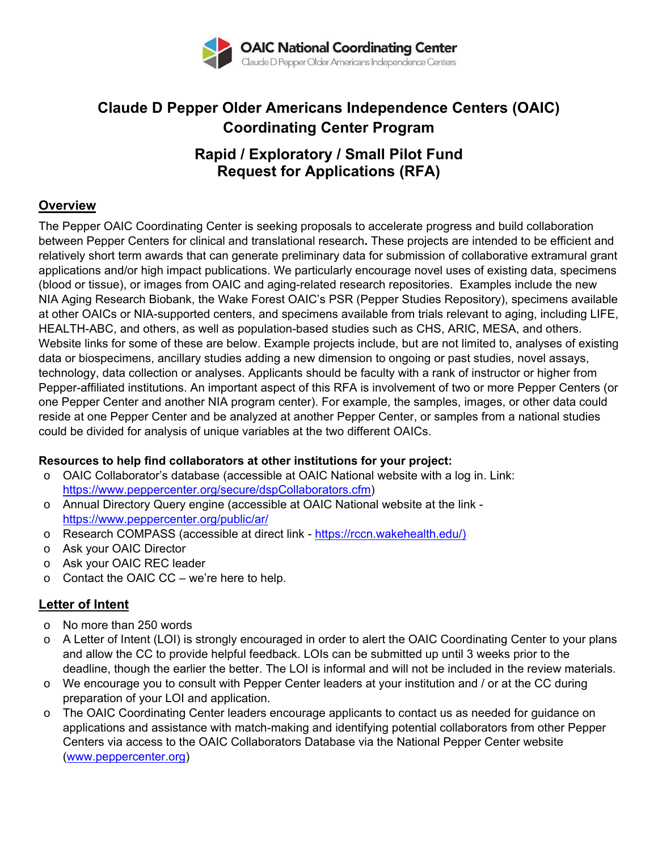

# **Claude D Pepper Older Americans Independence Centers (OAIC) Coordinating Center Program**

## **Rapid / Exploratory / Small Pilot Fund Request for Applications (RFA)**

#### **Overview**

The Pepper OAIC Coordinating Center is seeking proposals to accelerate progress and build collaboration between Pepper Centers for clinical and translational research**.** These projects are intended to be efficient and relatively short term awards that can generate preliminary data for submission of collaborative extramural grant applications and/or high impact publications. We particularly encourage novel uses of existing data, specimens (blood or tissue), or images from OAIC and aging-related research repositories. Examples include the new NIA Aging Research Biobank, the Wake Forest OAIC's PSR (Pepper Studies Repository), specimens available at other OAICs or NIA-supported centers, and specimens available from trials relevant to aging, including LIFE, HEALTH-ABC, and others, as well as population-based studies such as CHS, ARIC, MESA, and others. Website links for some of these are below. Example projects include, but are not limited to, analyses of existing data or biospecimens, ancillary studies adding a new dimension to ongoing or past studies, novel assays, technology, data collection or analyses. Applicants should be faculty with a rank of instructor or higher from Pepper-affiliated institutions. An important aspect of this RFA is involvement of two or more Pepper Centers (or one Pepper Center and another NIA program center). For example, the samples, images, or other data could reside at one Pepper Center and be analyzed at another Pepper Center, or samples from a national studies could be divided for analysis of unique variables at the two different OAICs.

#### **Resources to help find collaborators at other institutions for your project:**

- $\circ$  OAIC Collaborator's database (accessible at OAIC National website with a log in. Link: https://www.peppercenter.org/secure/dspCollaborators.cfm)
- o Annual Directory Query engine (accessible at OAIC National website at the link https://www.peppercenter.org/public/ar/
- o Research COMPASS (accessible at direct link https://rccn.wakehealth.edu/)
- o Ask your OAIC Director
- o Ask your OAIC REC leader
- $\circ$  Contact the OAIC CC we're here to help.

#### **Letter of Intent**

- o No more than 250 words
- o A Letter of Intent (LOI) is strongly encouraged in order to alert the OAIC Coordinating Center to your plans and allow the CC to provide helpful feedback. LOIs can be submitted up until 3 weeks prior to the deadline, though the earlier the better. The LOI is informal and will not be included in the review materials.
- o We encourage you to consult with Pepper Center leaders at your institution and / or at the CC during preparation of your LOI and application.
- o The OAIC Coordinating Center leaders encourage applicants to contact us as needed for guidance on applications and assistance with match-making and identifying potential collaborators from other Pepper Centers via access to the OAIC Collaborators Database via the National Pepper Center website (www.peppercenter.org)